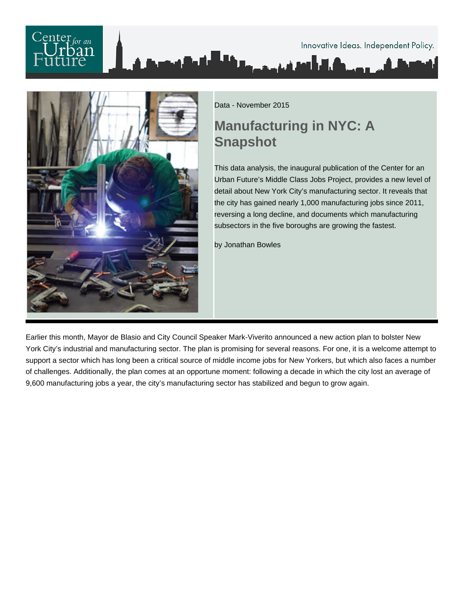# Innovative Ideas. Independent Policy.



 $\mathop{\rm ter}\nolimits_{\mathop{\rm for}\nolimits\mathop{\rm an}\nolimits}$ 

Data - November 2015

# **Manufacturing in NYC: A Snapshot**

This data analysis, the inaugural publication of the Center for an Urban Future's Middle Class Jobs Project, provides a new level of detail about New York City's manufacturing sector. It reveals that the city has gained nearly 1,000 manufacturing jobs since 2011, reversing a long decline, and documents which manufacturing subsectors in the five boroughs are growing the fastest.

by Jonathan Bowles

Earlier this month, Mayor de Blasio and City Council Speaker Mark-Viverito announced a new action plan to bolster New York City's industrial and manufacturing sector. The plan is promising for several reasons. For one, it is a welcome attempt to support a sector which has long been a critical source of middle income jobs for New Yorkers, but which also faces a number of challenges. Additionally, the plan comes at an opportune moment: following a decade in which the city lost an average of 9,600 manufacturing jobs a year, the city's manufacturing sector has stabilized and begun to grow again.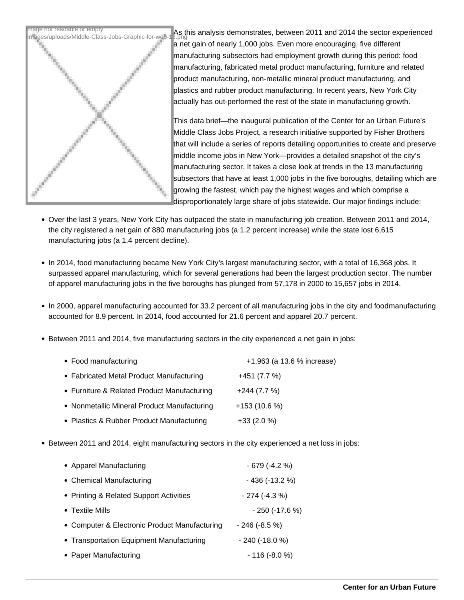

As this analysis demonstrates, between 2011 and 2014 the sector experienced a net gain of nearly 1,000 jobs. Even more encouraging, five different manufacturing subsectors had employment growth during this period: food manufacturing, fabricated metal product manufacturing, furniture and related product manufacturing, non-metallic mineral product manufacturing, and plastics and rubber product manufacturing. In recent years, New York City actually has out-performed the rest of the state in manufacturing growth.

This data brief—the inaugural publication of the Center for an Urban Future's Middle Class Jobs Project, a research initiative supported by Fisher Brothers that will include a series of reports detailing opportunities to create and preserve middle income jobs in New York—provides a detailed snapshot of the city's manufacturing sector. It takes a close look at trends in the 13 manufacturing subsectors that have at least 1,000 jobs in the five boroughs, detailing which are growing the fastest, which pay the highest wages and which comprise a disproportionately large share of jobs statewide. Our major findings include:

- Over the last 3 years, New York City has outpaced the state in manufacturing job creation. Between 2011 and 2014, the city registered a net gain of 880 manufacturing jobs (a 1.2 percent increase) while the state lost 6,615 manufacturing jobs (a 1.4 percent decline).
- In 2014, food manufacturing became New York City's largest manufacturing sector, with a total of 16,368 jobs. It surpassed apparel manufacturing, which for several generations had been the largest production sector. The number of apparel manufacturing jobs in the five boroughs has plunged from 57,178 in 2000 to 15,657 jobs in 2014.
- In 2000, apparel manufacturing accounted for 33.2 percent of all manufacturing jobs in the city and food manufacturing accounted for 8.9 percent. In 2014, food accounted for 21.6 percent and apparel 20.7 percent.
- **Between 2011 and 2014, five manufacturing sectors in the city experienced a net gain in jobs:**

| +1,963 (a 13.6 % increase) |
|----------------------------|
| $+451(7.7%)$               |
| $+244(7.7%)$               |
| $+153(10.6%)$              |
| $+33(2.0\%)$               |
|                            |

**Between 2011 and 2014, eight manufacturing sectors in the city experienced a net loss in jobs:** 

| • Apparel Manufacturing                       | $-679(-4.2%)$       |
|-----------------------------------------------|---------------------|
| • Chemical Manufacturing                      | $-436(-13.2%)$      |
| • Printing & Related Support Activities       | $-274$ (-4.3 %)     |
| $\bullet$ Textile Mills                       | $-250$ ( $-17.6$ %) |
| • Computer & Electronic Product Manufacturing | $-246$ (-8.5 %)     |
| • Transportation Equipment Manufacturing      | $-240$ ( $-18.0$ %) |
| • Paper Manufacturing                         | $-116(-8.0%)$       |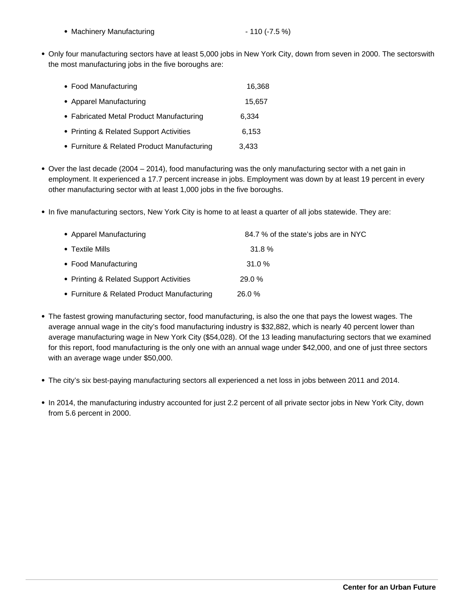• Machinery Manufacturing - 110 (-7.5 %)

Only four manufacturing sectors have at least 5,000 jobs in New York City, down from seven in 2000. The sectors with the most manufacturing jobs in the five boroughs are:

| • Food Manufacturing                        | 16,368 |
|---------------------------------------------|--------|
| • Apparel Manufacturing                     | 15,657 |
| • Fabricated Metal Product Manufacturing    | 6,334  |
| • Printing & Related Support Activities     | 6,153  |
| • Furniture & Related Product Manufacturing | 3,433  |

- Over the last decade (2004 2014), food manufacturing was the only manufacturing sector with a net gain in employment. It experienced a 17.7 percent increase in jobs. Employment was down by at least 19 percent in every other manufacturing sector with at least 1,000 jobs in the five boroughs.
- In five manufacturing sectors, New York City is home to at least a quarter of all jobs statewide. They are:

| • Apparel Manufacturing                     | 84.7 % of the state's jobs are in NYC |
|---------------------------------------------|---------------------------------------|
| $\bullet$ Textile Mills                     | 31.8%                                 |
| • Food Manufacturing                        | 31.0%                                 |
| • Printing & Related Support Activities     | 29.0%                                 |
| • Furniture & Related Product Manufacturing | 26.0 %                                |

- The fastest growing manufacturing sector, food manufacturing, is also the one that pays the lowest wages. The average annual wage in the city's food manufacturing industry is \$32,882, which is nearly 40 percent lower than average manufacturing wage in New York City (\$54,028). Of the 13 leading manufacturing sectors that we examined for this report, food manufacturing is the only one with an annual wage under \$42,000, and one of just three sectors with an average wage under \$50,000.
- The city's six best-paying manufacturing sectors all experienced a net loss in jobs between 2011 and 2014.
- In 2014, the manufacturing industry accounted for just 2.2 percent of all private sector jobs in New York City, down from 5.6 percent in 2000.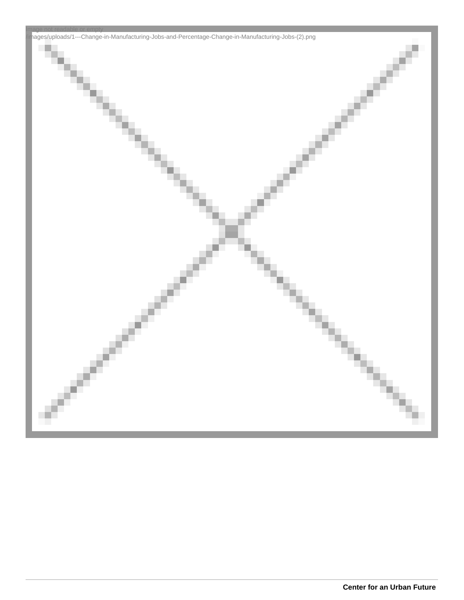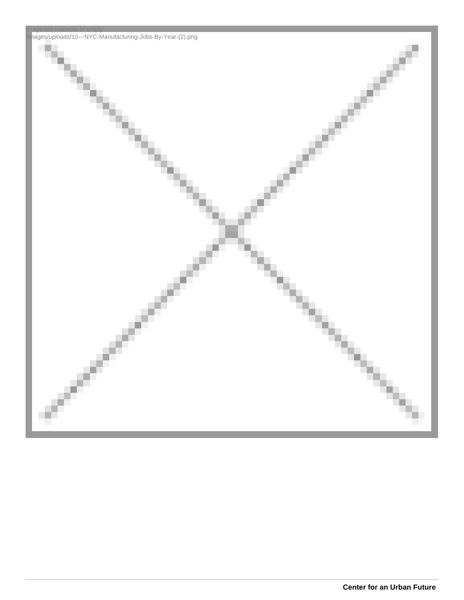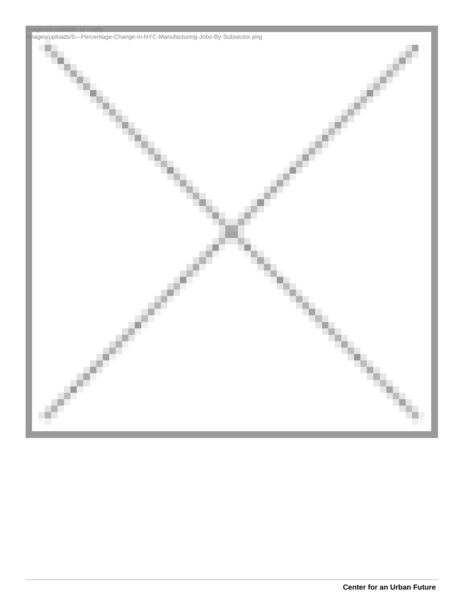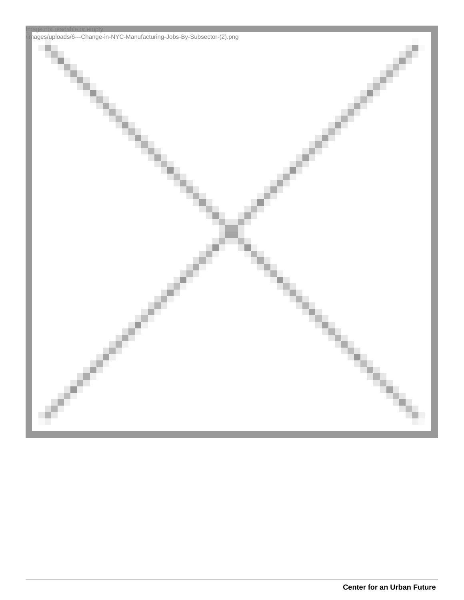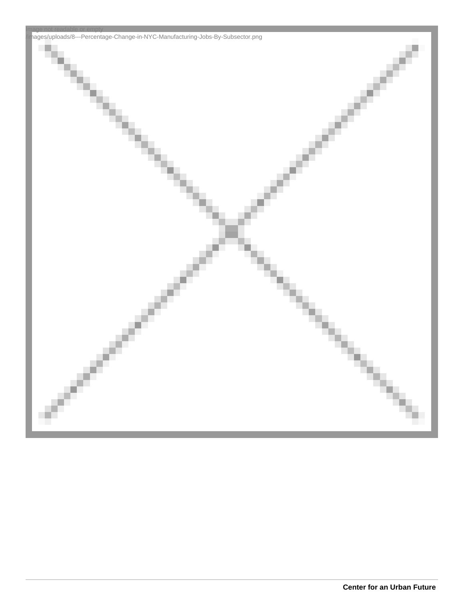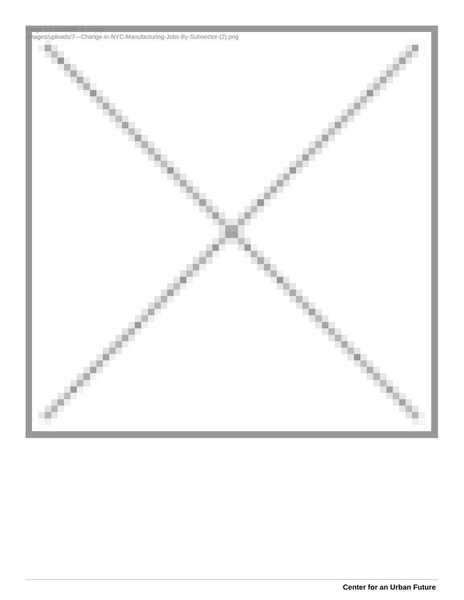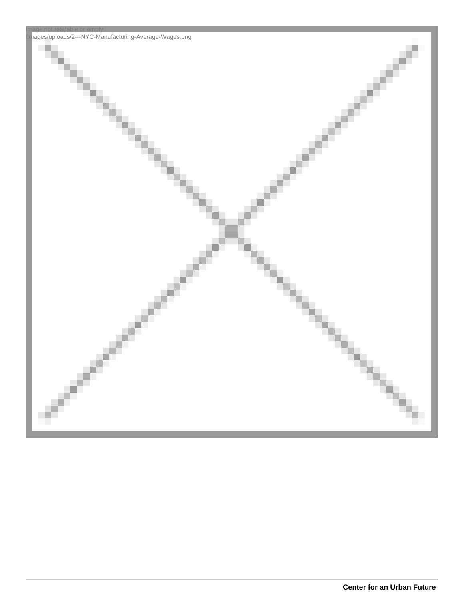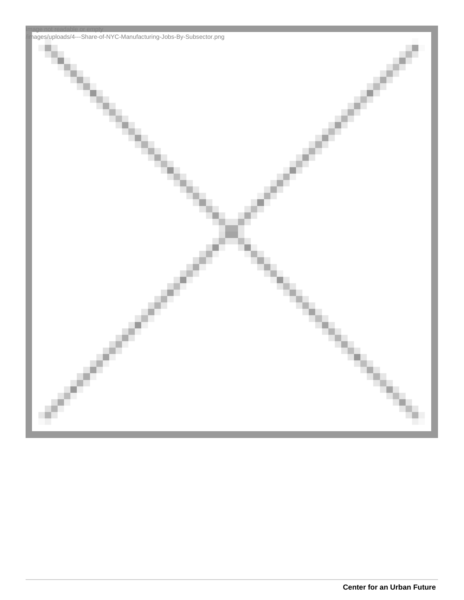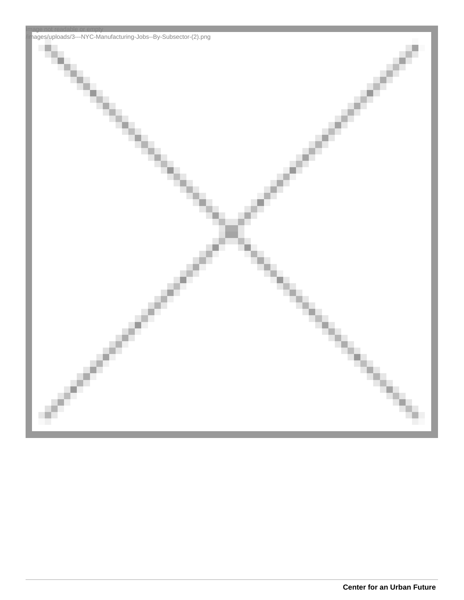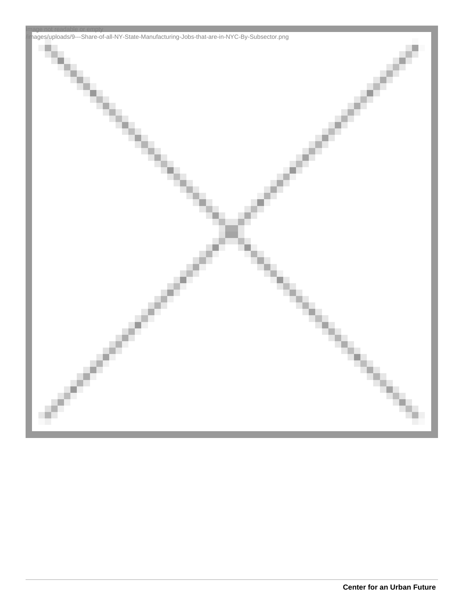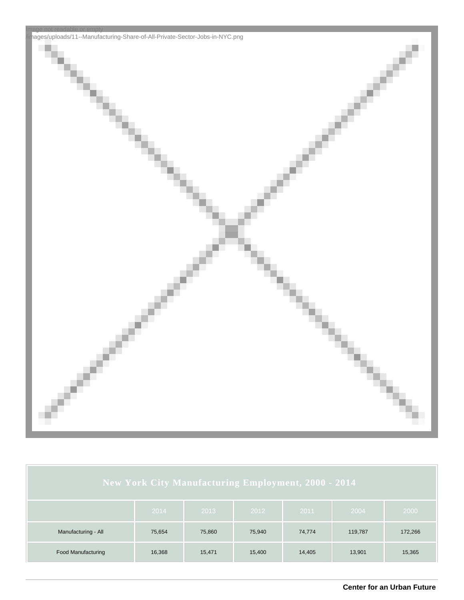

| <b>New York City Manufacturing Employment, 2000 - 2014</b> |        |        |        |        |         |         |
|------------------------------------------------------------|--------|--------|--------|--------|---------|---------|
|                                                            | 2014   | 2013   | 2012   | 2011   | 2004    | 2000    |
| Manufacturing - All                                        | 75,654 | 75,860 | 75,940 | 74,774 | 119,787 | 172,266 |
| Food Manufacturing                                         | 16,368 | 15.471 | 15,400 | 14,405 | 13.901  | 15,365  |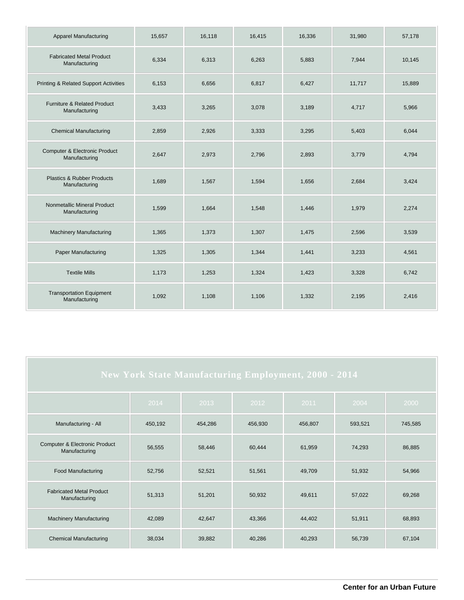| <b>Apparel Manufacturing</b>                              | 15,657 | 16,118 | 16,415 | 16,336 | 31,980 | 57,178 |
|-----------------------------------------------------------|--------|--------|--------|--------|--------|--------|
| <b>Fabricated Metal Product</b><br>Manufacturing          | 6,334  | 6,313  | 6,263  | 5,883  | 7,944  | 10,145 |
| <b>Printing &amp; Related Support Activities</b>          | 6,153  | 6,656  | 6,817  | 6,427  | 11,717 | 15,889 |
| <b>Furniture &amp; Related Product</b><br>Manufacturing   | 3,433  | 3,265  | 3,078  | 3,189  | 4,717  | 5,966  |
| <b>Chemical Manufacturing</b>                             | 2,859  | 2,926  | 3,333  | 3,295  | 5,403  | 6,044  |
| <b>Computer &amp; Electronic Product</b><br>Manufacturing | 2.647  | 2,973  | 2,796  | 2,893  | 3,779  | 4,794  |
| <b>Plastics &amp; Rubber Products</b><br>Manufacturing    | 1,689  | 1,567  | 1,594  | 1,656  | 2,684  | 3,424  |
| Nonmetallic Mineral Product<br>Manufacturing              | 1,599  | 1,664  | 1,548  | 1,446  | 1,979  | 2,274  |
| <b>Machinery Manufacturing</b>                            | 1,365  | 1,373  | 1,307  | 1,475  | 2,596  | 3,539  |
| <b>Paper Manufacturing</b>                                | 1,325  | 1,305  | 1,344  | 1,441  | 3,233  | 4,561  |
| <b>Textile Mills</b>                                      | 1,173  | 1,253  | 1,324  | 1,423  | 3,328  | 6,742  |
| <b>Transportation Equipment</b><br>Manufacturing          | 1,092  | 1,108  | 1,106  | 1,332  | 2,195  | 2,416  |

| <b>New York State Manufacturing Employment, 2000 - 2014</b> |  |
|-------------------------------------------------------------|--|
|                                                             |  |
|                                                             |  |

|                                                           | 2014    | 2013    | 2012    | 2011    | 2004    | 2000    |
|-----------------------------------------------------------|---------|---------|---------|---------|---------|---------|
| Manufacturing - All                                       | 450,192 | 454,286 | 456,930 | 456,807 | 593,521 | 745,585 |
| <b>Computer &amp; Electronic Product</b><br>Manufacturing | 56,555  | 58,446  | 60,444  | 61,959  | 74,293  | 86,885  |
| <b>Food Manufacturing</b>                                 | 52,756  | 52,521  | 51,561  | 49,709  | 51,932  | 54,966  |
| <b>Fabricated Metal Product</b><br>Manufacturing          | 51,313  | 51,201  | 50,932  | 49,611  | 57,022  | 69,268  |
| <b>Machinery Manufacturing</b>                            | 42,089  | 42,647  | 43,366  | 44,402  | 51,911  | 68,893  |
| <b>Chemical Manufacturing</b>                             | 38,034  | 39,882  | 40,286  | 40,293  | 56,739  | 67,104  |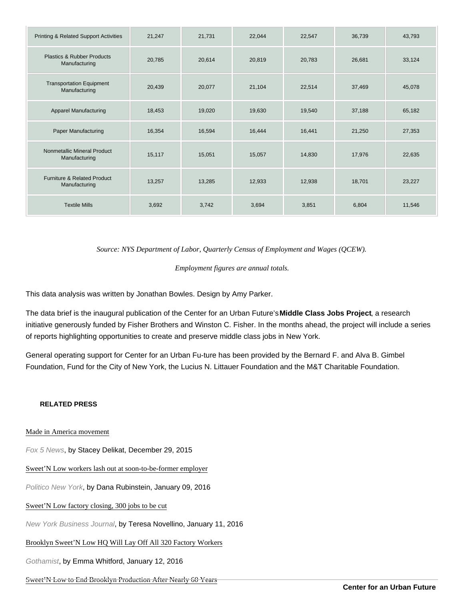| <b>Printing &amp; Related Support Activities</b>        | 21,247 | 21,731 | 22,044 | 22,547 | 36,739 | 43,793 |
|---------------------------------------------------------|--------|--------|--------|--------|--------|--------|
| <b>Plastics &amp; Rubber Products</b><br>Manufacturing  | 20,785 | 20,614 | 20,819 | 20,783 | 26,681 | 33,124 |
| <b>Transportation Equipment</b><br>Manufacturing        | 20,439 | 20,077 | 21,104 | 22,514 | 37,469 | 45,078 |
| <b>Apparel Manufacturing</b>                            | 18,453 | 19,020 | 19,630 | 19,540 | 37,188 | 65,182 |
| <b>Paper Manufacturing</b>                              | 16,354 | 16,594 | 16,444 | 16,441 | 21,250 | 27,353 |
| <b>Nonmetallic Mineral Product</b><br>Manufacturing     | 15,117 | 15,051 | 15,057 | 14,830 | 17,976 | 22,635 |
| <b>Furniture &amp; Related Product</b><br>Manufacturing | 13,257 | 13,285 | 12,933 | 12,938 | 18,701 | 23,227 |
| <b>Textile Mills</b>                                    | 3,692  | 3,742  | 3,694  | 3,851  | 6,804  | 11,546 |

Source: NYS Department of Labor, Quarterly Census of Employment and Wages (QCEW).

Employment figures are annual totals.

This data analysis was written by Jonathan Bowles. Design by Amy Parker.

The data brief is the inaugural publication of the Center for an Urban Future's Middle Class Jobs Project , a research initiative generously funded by Fisher Brothers and Winston C. Fisher. In the months ahead, the project will include a series of reports highlighting opportunities to create and preserve middle class jobs in New York.

General operating support for Center for an Urban Fu-ture has been provided by the Bernard F. and Alva B. Gimbel Foundation, Fund for the City of New York, the Lucius N. Littauer Foundation and the M&T Charitable Foundation.

# RELATED PRESS

# [Made in America moveme](http://www.fox5ny.com/news/65858563-story)nt

Fox 5 News, by Stacey Delikat, December 29, 2015

[Sweet'N Low workers lash out at soon-to-be-former emp](http://www.capitalnewyork.com/article/albany/2016/01/8587418/sweet’n-low-workers-lash-out-soon-be-former-employer)loyer

Politico New York, by Dana Rubinstein, January 09, 2016

#### [Sweet'N Low factory closing, 300 jobs to be](http://www.bizjournals.com/newyork/news/2016/01/11/sweet-n-low-factory-closing-300-jobs-to-be-cut.html) cut

New York Business Journal, by Teresa Novellino, January 11, 2016

#### [Brooklyn Sweet'N Low HQ Will Lay Off All 320 Factory Worke](http://gothamist.com/2016/01/12/sweetn_low_workers_brooklyn.php)rs

Gothamist, by Emma Whitford, January 12, 2016

[Sweet'N Low to End Brooklyn Production After Nearly 60 Ye](http://bigstory.ap.org/article/b4b8a98417ff4611a11e27c89dc7daef/sweetn-low-end-brooklyn-production-after-nearly-60-years)ars